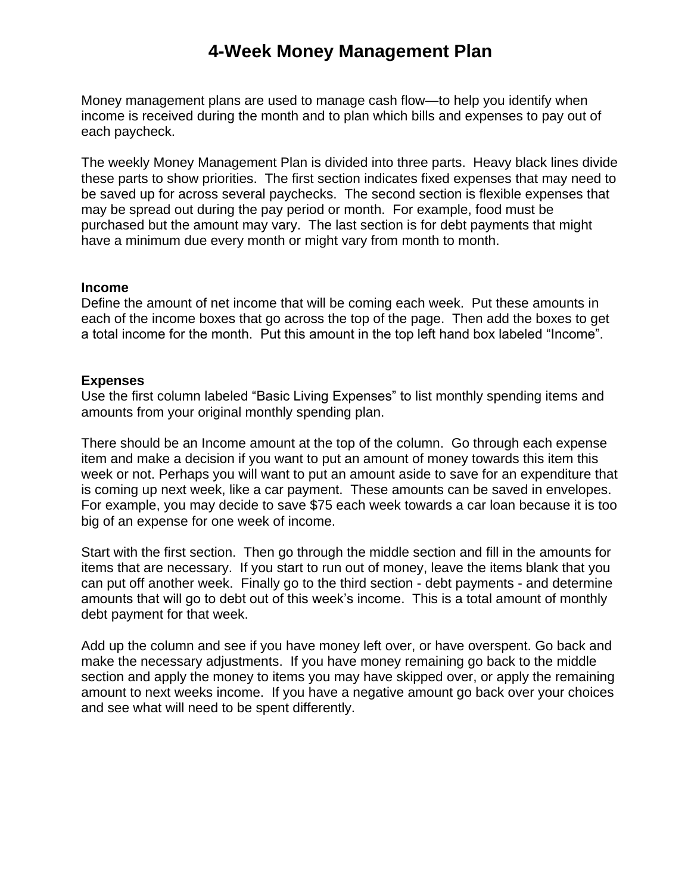## **4-Week Money Management Plan**

Money management plans are used to manage cash flow—to help you identify when income is received during the month and to plan which bills and expenses to pay out of each paycheck.

The weekly Money Management Plan is divided into three parts. Heavy black lines divide these parts to show priorities. The first section indicates fixed expenses that may need to be saved up for across several paychecks. The second section is flexible expenses that may be spread out during the pay period or month. For example, food must be purchased but the amount may vary. The last section is for debt payments that might have a minimum due every month or might vary from month to month.

## **Income**

Define the amount of net income that will be coming each week. Put these amounts in each of the income boxes that go across the top of the page. Then add the boxes to get a total income for the month. Put this amount in the top left hand box labeled "Income".

## **Expenses**

Use the first column labeled "Basic Living Expenses" to list monthly spending items and amounts from your original monthly spending plan.

There should be an Income amount at the top of the column. Go through each expense item and make a decision if you want to put an amount of money towards this item this week or not. Perhaps you will want to put an amount aside to save for an expenditure that is coming up next week, like a car payment. These amounts can be saved in envelopes. For example, you may decide to save \$75 each week towards a car loan because it is too big of an expense for one week of income.

Start with the first section. Then go through the middle section and fill in the amounts for items that are necessary. If you start to run out of money, leave the items blank that you can put off another week. Finally go to the third section - debt payments - and determine amounts that will go to debt out of this week's income. This is a total amount of monthly debt payment for that week.

Add up the column and see if you have money left over, or have overspent. Go back and make the necessary adjustments. If you have money remaining go back to the middle section and apply the money to items you may have skipped over, or apply the remaining amount to next weeks income. If you have a negative amount go back over your choices and see what will need to be spent differently.